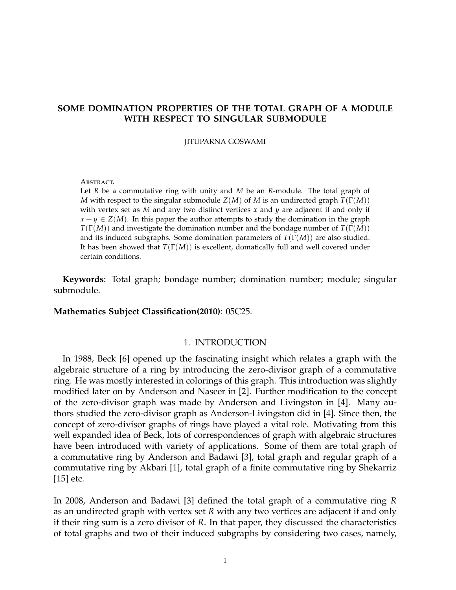# **SOME DOMINATION PROPERTIES OF THE TOTAL GRAPH OF A MODULE WITH RESPECT TO SINGULAR SUBMODULE**

#### JITUPARNA GOSWAMI

#### ABSTRACT.

Let *R* be a commutative ring with unity and *M* be an *R*-module. The total graph of *M* with respect to the singular submodule *Z*(*M*) of *M* is an undirected graph *T*(Γ(*M*)) with vertex set as  $M$  and any two distinct vertices  $x$  and  $y$  are adjacent if and only if  $x + y \in Z(M)$ . In this paper the author attempts to study the domination in the graph *T*(Γ(*M*)) and investigate the domination number and the bondage number of *T*(Γ(*M*)) and its induced subgraphs. Some domination parameters of *T*(Γ(*M*)) are also studied. It has been showed that *T*(Γ(*M*)) is excellent, domatically full and well covered under certain conditions.

**Keywords**: Total graph; bondage number; domination number; module; singular submodule.

#### **Mathematics Subject Classification(2010)**: 05C25.

#### 1. INTRODUCTION

In 1988, Beck [6] opened up the fascinating insight which relates a graph with the algebraic structure of a ring by introducing the zero-divisor graph of a commutative ring. He was mostly interested in colorings of this graph. This introduction was slightly modified later on by Anderson and Naseer in [2]. Further modification to the concept of the zero-divisor graph was made by Anderson and Livingston in [4]. Many authors studied the zero-divisor graph as Anderson-Livingston did in [4]. Since then, the concept of zero-divisor graphs of rings have played a vital role. Motivating from this well expanded idea of Beck, lots of correspondences of graph with algebraic structures have been introduced with variety of applications. Some of them are total graph of a commutative ring by Anderson and Badawi [3], total graph and regular graph of a commutative ring by Akbari [1], total graph of a finite commutative ring by Shekarriz [15] etc.

In 2008, Anderson and Badawi [3] defined the total graph of a commutative ring *R* as an undirected graph with vertex set *R* with any two vertices are adjacent if and only if their ring sum is a zero divisor of *R*. In that paper, they discussed the characteristics of total graphs and two of their induced subgraphs by considering two cases, namely,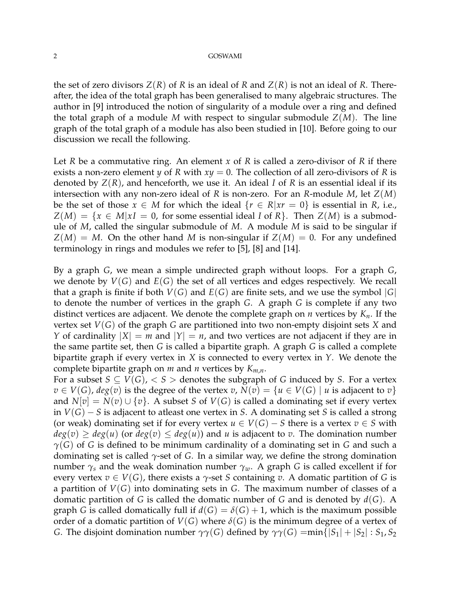the set of zero divisors  $Z(R)$  of R is an ideal of R and  $Z(R)$  is not an ideal of R. Thereafter, the idea of the total graph has been generalised to many algebraic structures. The author in [9] introduced the notion of singularity of a module over a ring and defined the total graph of a module *M* with respect to singular submodule *Z*(*M*). The line graph of the total graph of a module has also been studied in [10]. Before going to our discussion we recall the following.

Let *R* be a commutative ring. An element *x* of *R* is called a zero-divisor of *R* if there exists a non-zero element *y* of *R* with  $xy = 0$ . The collection of all zero-divisors of *R* is denoted by *Z*(*R*), and henceforth, we use it. An ideal *I* of *R* is an essential ideal if its intersection with any non-zero ideal of *R* is non-zero. For an *R*-module *M*, let *Z*(*M*) be the set of those  $x \in M$  for which the ideal  $\{r \in R | xr = 0\}$  is essential in *R*, i.e.,  $Z(M) = \{x \in M | xI = 0$ , for some essential ideal *I* of *R*. Then  $Z(M)$  is a submodule of *M*, called the singular submodule of *M*. A module *M* is said to be singular if  $Z(M) = M$ . On the other hand *M* is non-singular if  $Z(M) = 0$ . For any undefined terminology in rings and modules we refer to [5], [8] and [14].

By a graph *G*, we mean a simple undirected graph without loops. For a graph *G*, we denote by  $V(G)$  and  $E(G)$  the set of all vertices and edges respectively. We recall that a graph is finite if both  $V(G)$  and  $E(G)$  are finite sets, and we use the symbol  $|G|$ to denote the number of vertices in the graph *G*. A graph *G* is complete if any two distinct vertices are adjacent. We denote the complete graph on *n* vertices by *Kn*. If the vertex set *V*(*G*) of the graph *G* are partitioned into two non-empty disjoint sets *X* and *Y* of cardinality  $|X| = m$  and  $|Y| = n$ , and two vertices are not adjacent if they are in the same partite set, then *G* is called a bipartite graph. A graph *G* is called a complete bipartite graph if every vertex in *X* is connected to every vertex in *Y*. We denote the complete bipartite graph on *m* and *n* vertices by *Km*,*n*.

For a subset  $S \subseteq V(G)$ ,  $\lt S$   $>$  denotes the subgraph of *G* induced by *S*. For a vertex  $v \in V(G)$ ,  $deg(v)$  is the degree of the vertex *v*,  $N(v) = \{u \in V(G) \mid u$  is adjacent to *v*} and  $N[v] = N(v) \cup \{v\}$ . A subset *S* of  $V(G)$  is called a dominating set if every vertex in *V*(*G*) − *S* is adjacent to atleast one vertex in *S*. A dominating set *S* is called a strong (or weak) dominating set if for every vertex  $u \in V(G) - S$  there is a vertex  $v \in S$  with  $deg(v) \geq deg(u)$  (or  $deg(v) \leq deg(u)$ ) and *u* is adjacent to *v*. The domination number *γ*(*G*) of *G* is defined to be minimum cardinality of a dominating set in *G* and such a dominating set is called *γ*-set of *G*. In a similar way, we define the strong domination number  $\gamma_s$  and the weak domination number  $\gamma_w$ . A graph *G* is called excellent if for every vertex  $v \in V(G)$ , there exists a  $\gamma$ -set *S* containing *v*. A domatic partition of *G* is a partition of *V*(*G*) into dominating sets in *G*. The maximum number of classes of a domatic partition of *G* is called the domatic number of *G* and is denoted by *d*(*G*). A graph *G* is called domatically full if  $d(G) = \delta(G) + 1$ , which is the maximum possible order of a domatic partition of  $V(G)$  where  $\delta(G)$  is the minimum degree of a vertex of *G*. The disjoint domination number  $\gamma\gamma(G)$  defined by  $\gamma\gamma(G) = \min\{|S_1| + |S_2| : S_1, S_2\}$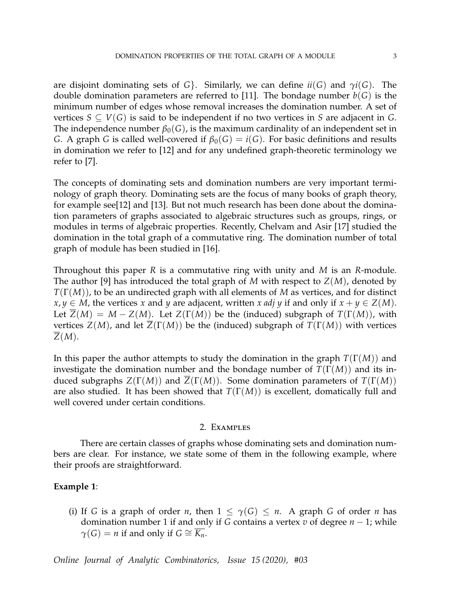are disjoint dominating sets of *G*. Similarly, we can define  $ii(G)$  and  $\gamma i(G)$ . The double domination parameters are referred to [11]. The bondage number  $b(G)$  is the minimum number of edges whose removal increases the domination number. A set of vertices  $S \subseteq V(G)$  is said to be independent if no two vertices in *S* are adjacent in *G*. The independence number  $\beta_0(G)$ , is the maximum cardinality of an independent set in *G*. A graph *G* is called well-covered if  $\beta_0(G) = i(G)$ . For basic definitions and results in domination we refer to [12] and for any undefined graph-theoretic terminology we refer to [7].

The concepts of dominating sets and domination numbers are very important terminology of graph theory. Dominating sets are the focus of many books of graph theory, for example see[12] and [13]. But not much research has been done about the domination parameters of graphs associated to algebraic structures such as groups, rings, or modules in terms of algebraic properties. Recently, Chelvam and Asir [17] studied the domination in the total graph of a commutative ring. The domination number of total graph of module has been studied in [16].

Throughout this paper *R* is a commutative ring with unity and *M* is an *R*-module. The author [9] has introduced the total graph of *M* with respect to *Z*(*M*), denoted by *T*(Γ(*M*)), to be an undirected graph with all elements of *M* as vertices, and for distinct *x*, *y* ∈ *M*, the vertices *x* and *y* are adjacent, written *x adj y* if and only if  $x + y \text{ ∈ } Z(M)$ . Let  $Z(M) = M - Z(M)$ . Let  $Z(\Gamma(M))$  be the (induced) subgraph of  $T(\Gamma(M))$ , with vertices *Z*(*M*), and let  $\overline{Z}(\Gamma(M))$  be the (induced) subgraph of  $T(\Gamma(M))$  with vertices *Z*(*M*).

In this paper the author attempts to study the domination in the graph *T*(Γ(*M*)) and investigate the domination number and the bondage number of  $T(\Gamma(M))$  and its induced subgraphs  $Z(\Gamma(M))$  and  $\overline{Z}(\Gamma(M))$ . Some domination parameters of  $T(\Gamma(M))$ are also studied. It has been showed that *T*(Γ(*M*)) is excellent, domatically full and well covered under certain conditions.

### 2. Examples

There are certain classes of graphs whose dominating sets and domination numbers are clear. For instance, we state some of them in the following example, where their proofs are straightforward.

### **Example 1**:

(i) If *G* is a graph of order *n*, then  $1 \leq \gamma(G) \leq n$ . A graph *G* of order *n* has domination number 1 if and only if *G* contains a vertex *v* of degree *n* − 1; while  $\gamma(G) = n$  if and only if  $G \cong \overline{K_n}$ .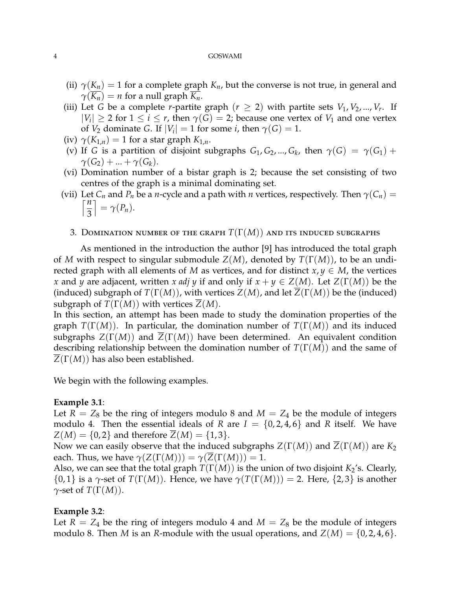- (ii)  $\gamma(K_n) = 1$  for a complete graph  $K_n$ , but the converse is not true, in general and  $\gamma(K_n) = n$  for a null graph  $K_n$ .
- (iii) Let *G* be a complete *r*-partite graph ( $r \geq 2$ ) with partite sets  $V_1, V_2, ..., V_r$ . If  $|V_i| \geq 2$  for  $1 \leq i \leq r$ , then  $\gamma(G) = 2$ ; because one vertex of  $V_1$  and one vertex of *V*<sub>2</sub> dominate *G*. If  $|V_i| = 1$  for some *i*, then  $\gamma(G) = 1$ .
- (iv)  $\gamma(K_{1,n}) = 1$  for a star graph  $K_{1,n}$ .
- (v) If *G* is a partition of disjoint subgraphs  $G_1, G_2, ..., G_k$ , then  $\gamma(G) = \gamma(G_1) +$  $\gamma(G_2) + ... + \gamma(G_k)$ .
- (vi) Domination number of a bistar graph is 2; because the set consisting of two centres of the graph is a minimal dominating set.
- (vii) Let  $C_n$  and  $P_n$  be a *n*-cycle and a path with *n* vertices, respectively. Then  $\gamma(C_n)$  =  $\lceil \frac{n}{2} \rceil$  $\Big] = \gamma(P_n).$ 
	- 3. DOMINATION NUMBER OF THE GRAPH  $T(\Gamma(M))$  and its induced subgraphs

As mentioned in the introduction the author [9] has introduced the total graph of *M* with respect to singular submodule *Z*(*M*), denoted by *T*(Γ(*M*)), to be an undirected graph with all elements of *M* as vertices, and for distinct  $x, y \in M$ , the vertices *x* and *y* are adjacent, written *x adj y* if and only if  $x + y \in Z(M)$ . Let  $Z(\Gamma(M))$  be the (induced) subgraph of  $T(\Gamma(M))$ , with vertices  $Z(M)$ , and let  $\overline{Z}(\Gamma(M))$  be the (induced) subgraph of  $T(\Gamma(M))$  with vertices  $\overline{Z}(M)$ .

In this section, an attempt has been made to study the domination properties of the graph *T*(Γ(*M*)). In particular, the domination number of *T*(Γ(*M*)) and its induced subgraphs  $Z(\Gamma(M))$  and  $\overline{Z}(\Gamma(M))$  have been determined. An equivalent condition describing relationship between the domination number of *T*(Γ(*M*)) and the same of *Z*(Γ(*M*)) has also been established.

We begin with the following examples.

### **Example 3.1**:

3

Let  $R = Z_8$  be the ring of integers modulo 8 and  $M = Z_4$  be the module of integers modulo 4. Then the essential ideals of *R* are  $I = \{0, 2, 4, 6\}$  and *R* itself. We have  $Z(M) = \{0, 2\}$  and therefore  $\overline{Z}(M) = \{1, 3\}.$ 

Now we can easily observe that the induced subgraphs *Z*(Γ(*M*)) and *Z*(Γ(*M*)) are *K*<sup>2</sup> each. Thus, we have  $\gamma(Z(\Gamma(M))) = \gamma(Z(\Gamma(M))) = 1$ .

Also, we can see that the total graph  $T(\Gamma(M))$  is the union of two disjoint  $K_2$ 's. Clearly,  $\{0,1\}$  is a  $\gamma$ -set of  $T(\Gamma(M))$ . Hence, we have  $\gamma(T(\Gamma(M))) = 2$ . Here,  $\{2,3\}$  is another *γ*-set of *T*(Γ(*M*)).

### **Example 3.2**:

Let  $R = Z_4$  be the ring of integers modulo 4 and  $M = Z_8$  be the module of integers modulo 8. Then *M* is an *R*-module with the usual operations, and  $Z(M) = \{0, 2, 4, 6\}.$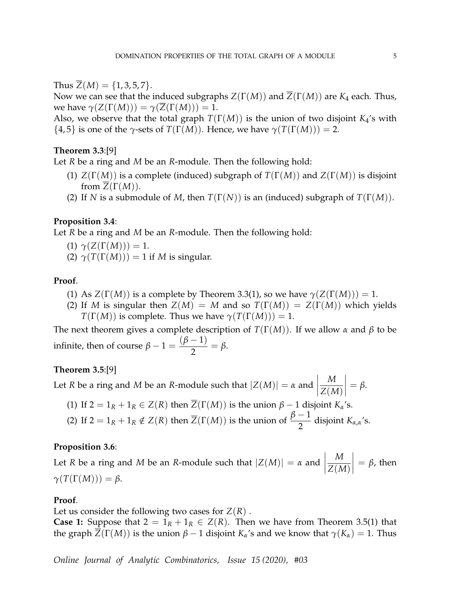Thus  $\overline{Z}(M) = \{1, 3, 5, 7\}.$ 

Now we can see that the induced subgraphs *Z*(Γ(*M*)) and *Z*(Γ(*M*)) are *K*<sup>4</sup> each. Thus, we have  $\gamma(Z(\Gamma(M))) = \gamma(Z(\Gamma(M))) = 1$ .

Also, we observe that the total graph  $T(\Gamma(M))$  is the union of two disjoint  $K_4$ 's with  ${4,5}$  is one of the  $\gamma$ -sets of  $T(\Gamma(M))$ . Hence, we have  $\gamma(T(\Gamma(M))) = 2$ .

# **Theorem 3.3**:[9]

Let *R* be a ring and *M* be an *R*-module. Then the following hold:

- (1) *Z*(Γ(*M*)) is a complete (induced) subgraph of *T*(Γ(*M*)) and *Z*(Γ(*M*)) is disjoint from  $Z(\Gamma(M))$ .
- (2) If *N* is a submodule of *M*, then  $T(\Gamma(N))$  is an (induced) subgraph of  $T(\Gamma(M))$ .

## **Proposition 3.4**:

Let *R* be a ring and *M* be an *R*-module. Then the following hold:

- $\gamma(Z(\Gamma(M))) = 1.$
- (2)  $\gamma(T(\Gamma(M))) = 1$  if *M* is singular.

## **Proof**.

- (1) As  $Z(\Gamma(M))$  is a complete by Theorem 3.3(1), so we have  $\gamma(Z(\Gamma(M))) = 1$ .
- (2) If *M* is singular then  $Z(M) = M$  and so  $T(\Gamma(M)) = Z(\Gamma(M))$  which yields *T*(**Γ**(*M*)) is complete. Thus we have  $\gamma(T(\Gamma(M))) = 1$ .

The next theorem gives a complete description of  $T(\Gamma(M))$ . If we allow  $\alpha$  and  $\beta$  to be infinite, then of course  $\beta - 1 =$  $(\beta - 1)$  $\frac{1}{2}$  = β.

## **Theorem 3.5**:[9]

Let *R* be a ring and *M* be an *R*-module such that  $|Z(M)| = \alpha$  and  $\begin{array}{c} \begin{array}{c} \begin{array}{c} \begin{array}{c} \end{array} \\ \end{array} \\ \begin{array}{c} \end{array} \end{array} \end{array}$ *M Z*(*M*)  $\vert = \beta.$ 

- (1) If  $2 = 1_R + 1_R \in Z(R)$  then  $\overline{Z}(\Gamma(M))$  is the union  $\beta 1$  disjoint  $K_{\alpha}$ 's.
- (2) If  $2 = 1_R + 1_R \notin Z(R)$  then  $\overline{Z}(\Gamma(M))$  is the union of  $\frac{\beta 1}{2}$  disjoint  $K_{\alpha,\alpha}$ 's.

### **Proposition 3.6**:

Let *R* be a ring and *M* be an *R*-module such that  $|Z(M)| = \alpha$  and  $\begin{array}{c} \begin{array}{c} \begin{array}{c} \end{array} \\ \begin{array}{c} \end{array} \end{array} \end{array}$ *M Z*(*M*)  $\Big| = \beta$ , then  $\gamma(T(\Gamma(M))) = \beta$ .

# **Proof**.

Let us consider the following two cases for  $Z(R)$ .

**Case 1:** Suppose that  $2 = 1_R + 1_R \in Z(R)$ . Then we have from Theorem 3.5(1) that the graph  $\overline{Z}(\Gamma(M))$  is the union  $\beta - 1$  disjoint  $K_\alpha$ 's and we know that  $\gamma(K_\alpha) = 1$ . Thus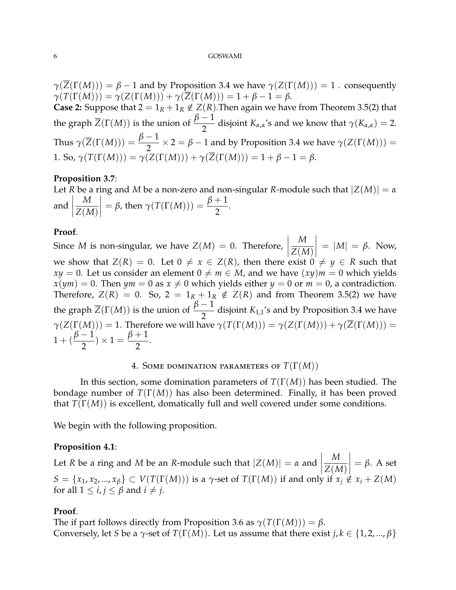$\gamma(\overline{Z}(\Gamma(M))) = \beta - 1$  and by Proposition 3.4 we have  $\gamma(Z(\Gamma(M))) = 1$ . consequently  $\gamma(T(\Gamma(M))) = \gamma(Z(\Gamma(M))) + \gamma(\overline{Z}(\Gamma(M))) = 1 + \beta - 1 = \beta.$ 

**Case 2:** Suppose that  $2 = 1_R + 1_R \notin Z(R)$ . Then again we have from Theorem 3.5(2) that the graph  $\overline{Z}(\Gamma(M))$  is the union of  $\frac{\beta-1}{2}$  $\frac{1}{2}$  disjoint *K*<sub>*α*,*α*</sub>'s and we know that  $\gamma$ (*K*<sub>*α*,*α*) = 2.</sub> Thus  $\gamma(\overline{Z}(\Gamma(M))) = \frac{\beta - 1}{2} \times 2 = \beta - 1$  and by Proposition 3.4 we have  $\gamma(Z(\Gamma(M))) =$ 1. So,  $\gamma(T(\Gamma(M))) = \gamma(Z(\Gamma(M))) + \gamma(Z(\Gamma(M))) = 1 + \beta - 1 = \beta.$ 

#### **Proposition 3.7**:

Let *R* be a ring and *M* be a non-zero and non-singular *R*-module such that |*Z*(*M*)| = *α* and  $\begin{array}{c} \begin{array}{c} \begin{array}{c} \begin{array}{c} \end{array} \\ \end{array} \\ \begin{array}{c} \end{array} \end{array} \end{array}$ *M Z*(*M*)  $= \beta$ , then  $\gamma(T(\Gamma(M))) = \frac{\beta+1}{2}$ .

#### **Proof**.

Since *M* is non-singular, we have  $Z(M) = 0$ . Therefore,  $\begin{array}{c} \hline \end{array}$ *M Z*(*M*)  $= |M| = \beta$ . Now, we show that  $Z(R) = 0$ . Let  $0 \neq x \in Z(R)$ , then there exist  $0 \neq y \in R$  such that  $xy = 0$ . Let us consider an element  $0 \neq m \in M$ , and we have  $(xy)m = 0$  which yields  $x(ym) = 0$ . Then  $ym = 0$  as  $x \neq 0$  which yields either  $y = 0$  or  $m = 0$ , a contradiction. Therefore,  $Z(R) = 0$ . So,  $2 = 1_R + 1_R \notin Z(R)$  and from Theorem 3.5(2) we have the graph  $\overline{Z}(\Gamma(M))$  is the union of  $\frac{\beta-1}{2}$  $\frac{1}{2}$  disjoint *K*<sub>1,1</sub>'s and by Proposition 3.4 we have  $\gamma(Z(\Gamma(M))) = 1$ . Therefore we will have  $\gamma(T(\Gamma(M))) = \gamma(Z(\Gamma(M))) + \gamma(\overline{Z}(\Gamma(M))) =$  $1 + (\frac{\beta - 1}{2})$ 2  $\int x \, 1 = \frac{\beta + 1}{2}$ 2 .

## 4. Some domination parameters of *T*(Γ(*M*))

In this section, some domination parameters of *T*(Γ(*M*)) has been studied. The bondage number of *T*(Γ(*M*)) has also been determined. Finally, it has been proved that *T*(Γ(*M*)) is excellent, domatically full and well covered under some conditions.

We begin with the following proposition.

#### **Proposition 4.1**:

Let *R* be a ring and *M* be an *R*-module such that  $|Z(M)| = \alpha$  and  $\begin{array}{c} \hline \end{array}$  $\vert$ *M Z*(*M*)  $\Big| = \beta$ . A set  $S = \{x_1, x_2, ..., x_\beta\} \subset V(T(\Gamma(M)))$  is a *γ*-set of  $T(\Gamma(M))$  if and only if  $x_j \notin x_i + Z(M)$ for all  $1 \le i, j \le \beta$  and  $i \ne j$ .

## **Proof**.

The if part follows directly from Proposition 3.6 as  $\gamma(T(\Gamma(M))) = \beta$ . Conversely, let *S* be a *γ*-set of  $T(\Gamma(M))$ . Let us assume that there exist *j*,  $k \in \{1, 2, ..., \beta\}$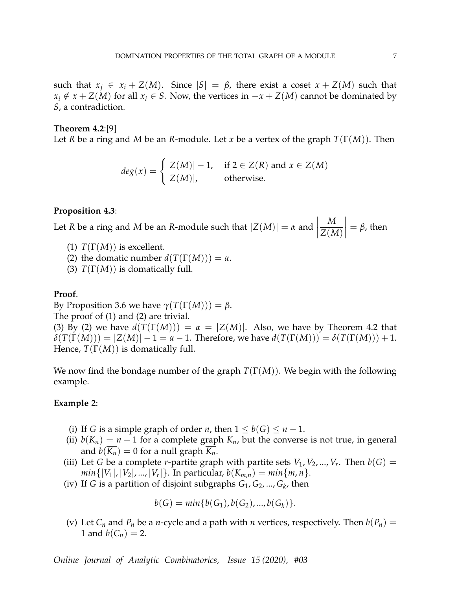such that  $x_i \in x_i + Z(M)$ . Since  $|S| = \beta$ , there exist a coset  $x + Z(M)$  such that *x*<sup>*i*</sup> ∉ *x* + *Z*(*M*) for all *x*<sup>*i*</sup> ∈ *S*. Now, the vertices in  $-x + Z(M)$  cannot be dominated by *S*, a contradiction.

# **Theorem 4.2**:[9]

Let *R* be a ring and *M* be an *R*-module. Let *x* be a vertex of the graph *T*(Γ(*M*)). Then

$$
deg(x) = \begin{cases} |Z(M)| - 1, & \text{if } 2 \in Z(R) \text{ and } x \in Z(M) \\ |Z(M)|, & \text{otherwise.} \end{cases}
$$

#### **Proposition 4.3**:

Let *R* be a ring and *M* be an *R*-module such that  $|Z(M)| = \alpha$  and *M Z*(*M*)  $\Big| = \beta$ , then

- (1)  $T(\Gamma(M))$  is excellent.
- (2) the domatic number  $d(T(\Gamma(M))) = \alpha$ .
- (3)  $T(\Gamma(M))$  is domatically full.

# **Proof**.

By Proposition 3.6 we have  $\gamma(T(\Gamma(M))) = \beta$ .

The proof of (1) and (2) are trivial.

(3) By (2) we have  $d(T(\Gamma(M))) = \alpha = |Z(M)|$ . Also, we have by Theorem 4.2 that  $\delta(T(\Gamma(M))) = |Z(M)| - 1 = \alpha - 1$ . Therefore, we have  $d(T(\Gamma(M))) = \delta(T(\Gamma(M))) + 1$ . Hence, *T*(Γ(*M*)) is domatically full.

We now find the bondage number of the graph *T*(Γ(*M*)). We begin with the following example.

### **Example 2**:

- (i) If *G* is a simple graph of order *n*, then  $1 \leq b(G) \leq n-1$ .
- (ii)  $b(K_n) = n 1$  for a complete graph  $K_n$ , but the converse is not true, in general and  $b(K_n) = 0$  for a null graph  $K_n$ .
- (iii) Let *G* be a complete *r*-partite graph with partite sets  $V_1$ ,  $V_2$ , ...,  $V_r$ . Then  $b(G)$  =  $min\{|V_1|, |V_2|, ..., |V_r|\}$ . In particular,  $b(K_{m,n}) = min\{m, n\}$ .
- (iv) If *G* is a partition of disjoint subgraphs *G*1, *G*2, ..., *G<sup>k</sup>* , then

$$
b(G) = min{b(G_1), b(G_2), ..., b(G_k)}.
$$

(v) Let  $C_n$  and  $P_n$  be a *n*-cycle and a path with *n* vertices, respectively. Then  $b(P_n)$  = 1 and  $b(C_n) = 2$ .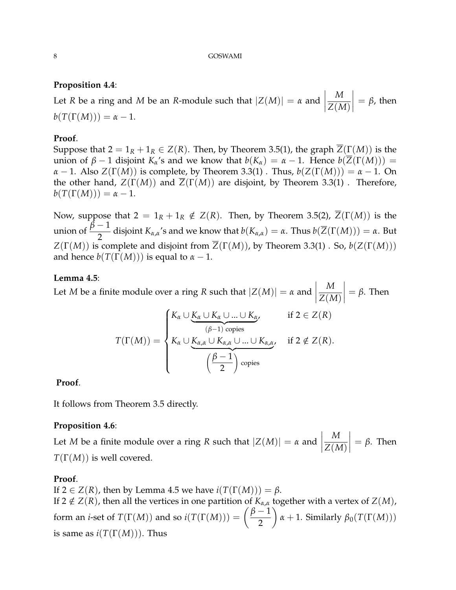# **Proposition 4.4**:

Let *R* be a ring and *M* be an *R*-module such that  $|Z(M)| = \alpha$  and  $\begin{array}{c} \begin{array}{c} \begin{array}{c} \end{array} \\ \begin{array}{c} \end{array} \end{array} \end{array}$ *M Z*(*M*)  $\Big| = \beta$ , then  $b(T(\Gamma(M))) = \alpha - 1.$ 

# **Proof**.

Suppose that  $2 = 1_R + 1_R \in Z(R)$ . Then, by Theorem 3.5(1), the graph  $\overline{Z}(\Gamma(M))$  is the union of *β* − 1 disjoint *K*<sup> $α$ </sup>'s and we know that *b*(*K*<sub> $α$ </sub>) = *α* − 1. Hence *b*( $\overline{Z}(\Gamma(M))$ ) = *α* − 1. Also *Z*(Γ(*M*)) is complete, by Theorem 3.3(1) . Thus,  $b(Z(\Gamma(M))) = a - 1$ . On the other hand,  $Z(\Gamma(M))$  and  $\overline{Z}(\Gamma(M))$  are disjoint, by Theorem 3.3(1). Therefore,  $b(T(\Gamma(M))) = \alpha - 1.$ 

Now, suppose that  $2 = 1_R + 1_R \notin Z(R)$ . Then, by Theorem 3.5(2),  $\overline{Z}(\Gamma(M))$  is the union of  $\frac{\bar{\beta}-1}{2}$  $\frac{1}{2}$  disjoint  $K_{\alpha,\alpha}$ 's and we know that  $b(K_{\alpha,\alpha}) = \alpha$ . Thus  $b(\overline{Z}(\Gamma(M))) = \alpha$ . But *Z*(Γ(*M*)) is complete and disjoint from  $\overline{Z}(\Gamma(M))$ , by Theorem 3.3(1) . So,  $b(Z(\Gamma(M)))$ and hence  $b(T(\Gamma(M)))$  is equal to  $\alpha - 1$ .

# **Lemma 4.5**:

Let *M* be a finite module over a ring *R* such that  $|Z(M)| = \alpha$  and  $\begin{array}{c} \begin{array}{c} \begin{array}{c} \end{array} \\ \begin{array}{c} \end{array} \end{array} \end{array}$  $\begin{array}{c} \hline \end{array}$ *M Z*(*M*)  $\Big| = \beta$ . Then  $T(\Gamma(M)) =$  $\sqrt{ }$  $\int$  $\overline{\mathcal{L}}$ *K<sup>α</sup>* ∪ *K<sup>α</sup>* ∪ *K<sup>α</sup>* ∪ ... ∪ *K<sup>α</sup>* | {z } (*β*−1) copies , if 2 ∈ *Z*(*R*) *K<sup>α</sup>* ∪ *Kα*,*<sup>α</sup>* ∪ *Kα*,*<sup>α</sup>* ∪ ... ∪ *Kα*,*<sup>α</sup>*  $({\beta} - 1)$  $\setminus$ copies *r* if  $2 \notin Z(R)$ .

2

**Proof**.

It follows from Theorem 3.5 directly.

## **Proposition 4.6**:

Let *M* be a finite module over a ring *R* such that  $|Z(M)| = \alpha$  and  $\begin{array}{c} \begin{array}{c} \begin{array}{c} \begin{array}{c} \end{array} \\ \end{array} \\ \begin{array}{c} \end{array} \end{array} \end{array}$ *M Z*(*M*)  $\Big| = \beta$ . Then *T*(Γ(*M*)) is well covered.

## **Proof**.

If  $2 \in Z(R)$ , then by Lemma 4.5 we have  $i(T(\Gamma(M))) = \beta$ .

If 2  $\notin$  *Z*(*R*), then all the vertices in one partition of  $K_{\alpha,\alpha}$  together with a vertex of *Z*(*M*), form an *i*-set of  $T(\Gamma(M))$  and so  $i(T(\Gamma(M))) = \left(\frac{\beta-1}{2}\right)$ 2  $\alpha$  + 1. Similarly  $\beta_0(T(\Gamma(M)))$ is same as  $i(T(\Gamma(M)))$ . Thus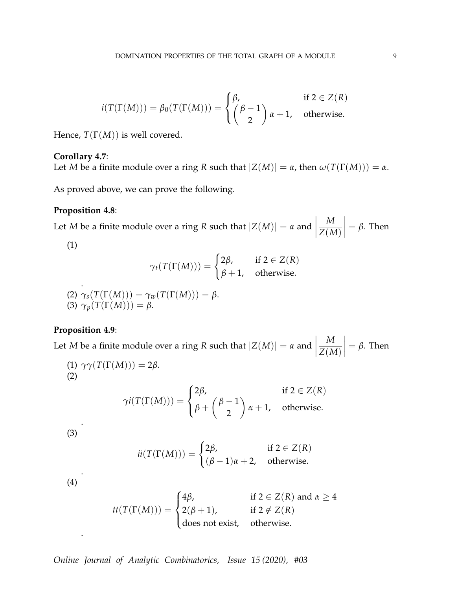$$
i(T(\Gamma(M))) = \beta_0(T(\Gamma(M))) = \begin{cases} \beta, & \text{if } 2 \in Z(R) \\ \left(\frac{\beta - 1}{2}\right)\alpha + 1, & \text{otherwise.} \end{cases}
$$

Hence,  $T(\Gamma(M))$  is well covered.

### **Corollary 4.7**:

Let *M* be a finite module over a ring *R* such that  $|Z(M)| = \alpha$ , then  $\omega(T(\Gamma(M))) = \alpha$ .

As proved above, we can prove the following.

## **Proposition 4.8**:

Let *M* be a finite module over a ring *R* such that  $|Z(M)| = \alpha$  and  $\begin{array}{c} \begin{array}{c} \begin{array}{c} \begin{array}{c} \end{array} \\ \end{array} \\ \begin{array}{c} \end{array} \end{array} \end{array}$ *M Z*(*M*)  $\Big| = \beta$ . Then

(1)

$$
\gamma_t(T(\Gamma(M))) = \begin{cases} 2\beta, & \text{if } 2 \in Z(R) \\ \beta + 1, & \text{otherwise.} \end{cases}
$$

(2) 
$$
\gamma_s(T(\Gamma(M))) = \gamma_w(T(\Gamma(M))) = \beta.
$$
  
(3) 
$$
\gamma_p(T(\Gamma(M))) = \beta.
$$

### **Proposition 4.9**:

Let *M* be a finite module over a ring *R* such that  $|Z(M)| = \alpha$  and  $\begin{array}{c} \begin{array}{c} \begin{array}{c} \begin{array}{c} \end{array}\\ \begin{array}{c} \end{array}\\ \begin{array}{c} \end{array}\\ \begin{array}{c} \end{array}\\ \begin{array}{c} \end{array}\\ \begin{array}{c} \end{array}\\ \begin{array}{c} \end{array}\\ \begin{array}{c} \end{array}\\ \begin{array}{c} \end{array}\\ \begin{array}{c} \end{array}\\ \begin{array}{c} \end{array}\\ \begin{array}{c} \end{array}\\ \begin{array}{c} \end{array}\\ \begin{array}{c} \end{array}\\ \begin{array}{c} \end{array}\\ \begin{array}{c} \end{array}\\ \begin{array}{c}$ *M Z*(*M*)  $\Big| = \beta$ . Then

(1) 
$$
\gamma \gamma(T(T(M))) = 2\beta
$$
.  
\n(2) 
$$
\gamma i(T(T(M))) = \begin{cases} 2\beta, & \text{if } 2 \in Z(R) \\ \beta + \left(\frac{\beta - 1}{2}\right) \alpha + 1, & \text{otherwise.} \end{cases}
$$

(3)

(2)

$$
ii(T(\Gamma(M))) = \begin{cases} 2\beta, & \text{if } 2 \in Z(R) \\ (\beta - 1)\alpha + 2, & \text{otherwise.} \end{cases}
$$

(4)

.

.

$$
tt(T(\Gamma(M))) = \begin{cases} 4\beta, & \text{if } 2 \in Z(R) \text{ and } \alpha \ge 4 \\ 2(\beta + 1), & \text{if } 2 \notin Z(R) \\ \text{does not exist}, & \text{otherwise.} \end{cases}
$$